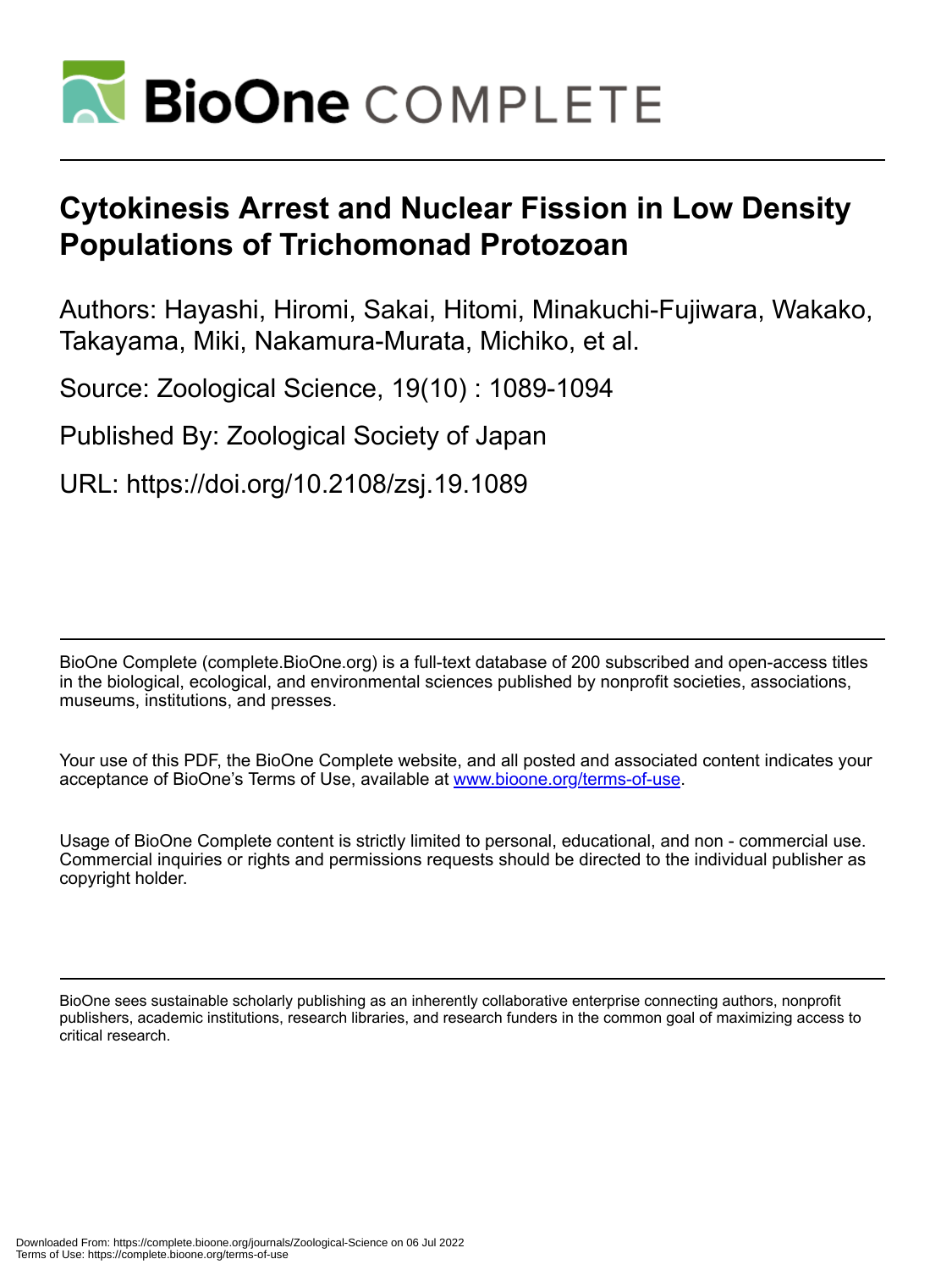

# **Cytokinesis Arrest and Nuclear Fission in Low Density Populations of Trichomonad Protozoan**

Authors: Hayashi, Hiromi, Sakai, Hitomi, Minakuchi-Fujiwara, Wakako, Takayama, Miki, Nakamura-Murata, Michiko, et al.

Source: Zoological Science, 19(10) : 1089-1094

Published By: Zoological Society of Japan

URL: https://doi.org/10.2108/zsj.19.1089

BioOne Complete (complete.BioOne.org) is a full-text database of 200 subscribed and open-access titles in the biological, ecological, and environmental sciences published by nonprofit societies, associations, museums, institutions, and presses.

Your use of this PDF, the BioOne Complete website, and all posted and associated content indicates your acceptance of BioOne's Terms of Use, available at www.bioone.org/terms-of-use.

Usage of BioOne Complete content is strictly limited to personal, educational, and non - commercial use. Commercial inquiries or rights and permissions requests should be directed to the individual publisher as copyright holder.

BioOne sees sustainable scholarly publishing as an inherently collaborative enterprise connecting authors, nonprofit publishers, academic institutions, research libraries, and research funders in the common goal of maximizing access to critical research.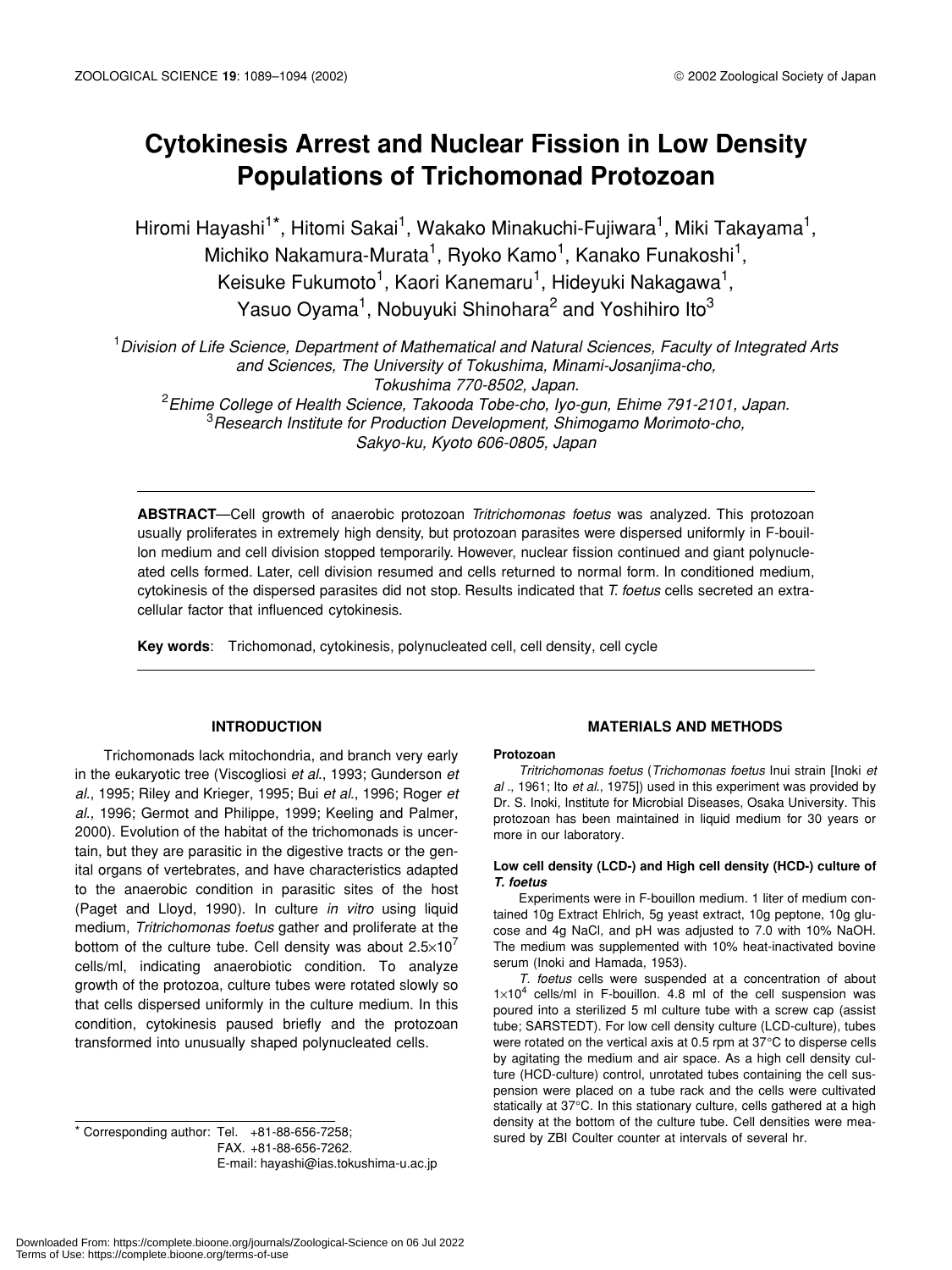# **Cytokinesis Arrest and Nuclear Fission in Low Density Populations of Trichomonad Protozoan**

Hiromi Hayashi<sup>1\*</sup>, Hitomi Sakai<sup>1</sup>, Wakako Minakuchi-Fujiwara<sup>1</sup>, Miki Takayama<sup>1</sup>, Michiko Nakamura-Murata<sup>1</sup>, Ryoko Kamo<sup>1</sup>, Kanako Funakoshi<sup>1</sup>, Keisuke Fukumoto<sup>1</sup>, Kaori Kanemaru<sup>1</sup>, Hideyuki Nakagawa<sup>1</sup>, Yasuo Oyama<sup>1</sup>, Nobuyuki Shinohara<sup>2</sup> and Yoshihiro Ito<sup>3</sup>

1 *Division of Life Science, Department of Mathematical and Natural Sciences, Faculty of Integrated Arts and Sciences, The University of Tokushima, Minami-Josanjima-cho, Tokushima 770-8502, Japan.* 2 *Ehime College of Health Science, Takooda Tobe-cho, Iyo-gun, Ehime 791-2101, Japan.*

3 *Research Institute for Production Development, Shimogamo Morimoto-cho, Sakyo-ku, Kyoto 606-0805, Japan*

**ABSTRACT**—Cell growth of anaerobic protozoan *Tritrichomonas foetus* was analyzed. This protozoan usually proliferates in extremely high density, but protozoan parasites were dispersed uniformly in F-bouillon medium and cell division stopped temporarily. However, nuclear fission continued and giant polynucleated cells formed. Later, cell division resumed and cells returned to normal form. In conditioned medium, cytokinesis of the dispersed parasites did not stop. Results indicated that *T. foetus* cells secreted an extracellular factor that influenced cytokinesis.

**Key words**: Trichomonad, cytokinesis, polynucleated cell, cell density, cell cycle

# **INTRODUCTION**

Trichomonads lack mitochondria, and branch very early in the eukaryotic tree (Viscogliosi *et al*., 1993; Gunderson *et al*., 1995; Riley and Krieger, 1995; Bui *et al*., 1996; Roger *et al*., 1996; Germot and Philippe, 1999; Keeling and Palmer, 2000). Evolution of the habitat of the trichomonads is uncertain, but they are parasitic in the digestive tracts or the genital organs of vertebrates, and have characteristics adapted to the anaerobic condition in parasitic sites of the host (Paget and Lloyd, 1990). In culture *in vitro* using liquid medium, *Tritrichomonas foetus* gather and proliferate at the bottom of the culture tube. Cell density was about  $2.5 \times 10^7$ cells/ml, indicating anaerobiotic condition. To analyze growth of the protozoa, culture tubes were rotated slowly so that cells dispersed uniformly in the culture medium. In this condition, cytokinesis paused briefly and the protozoan transformed into unusually shaped polynucleated cells.

sured by ZBI Coulter counter at intervals of several hr.<br>Sured by ZBI Coulter counter at intervals of several hr. FAX. +81-88-656-7262. E-mail: hayashi@ias.tokushima-u.ac.jp

# **MATERIALS AND METHODS**

#### **Protozoan**

*Tritrichomonas foetus* (*Trichomonas foetus* Inui strain [Inoki *et al* ., 1961; Ito *et al*., 1975]) used in this experiment was provided by Dr. S. Inoki, Institute for Microbial Diseases, Osaka University. This protozoan has been maintained in liquid medium for 30 years or more in our laboratory.

#### **Low cell density (LCD-) and High cell density (HCD-) culture of** *T. foetus*

Experiments were in F-bouillon medium. 1 liter of medium contained 10g Extract Ehlrich, 5g yeast extract, 10g peptone, 10g glucose and 4g NaCl, and pH was adjusted to 7.0 with 10% NaOH. The medium was supplemented with 10% heat-inactivated bovine serum (Inoki and Hamada, 1953).

*T. foetus* cells were suspended at a concentration of about  $1 \times 10^4$  cells/ml in F-bouillon. 4.8 ml of the cell suspension was poured into a sterilized 5 ml culture tube with a screw cap (assist tube; SARSTEDT). For low cell density culture (LCD-culture), tubes were rotated on the vertical axis at 0.5 rpm at 37°C to disperse cells by agitating the medium and air space. As a high cell density culture (HCD-culture) control, unrotated tubes containing the cell suspension were placed on a tube rack and the cells were cultivated statically at 37°C. In this stationary culture, cells gathered at a high density at the bottom of the culture tube. Cell densities were mea-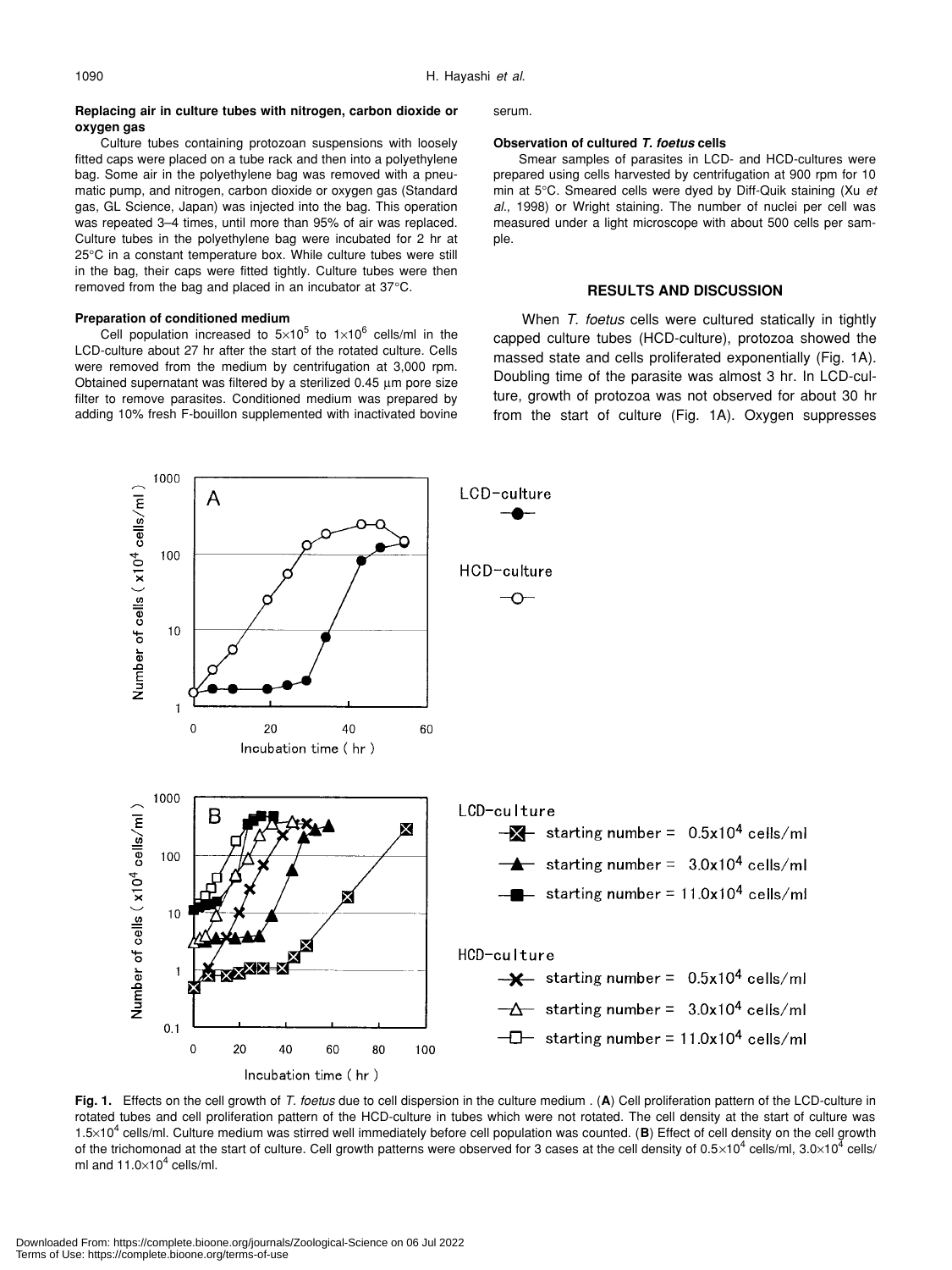#### **Replacing air in culture tubes with nitrogen, carbon dioxide or oxygen gas**

#### Culture tubes containing protozoan suspensions with loosely fitted caps were placed on a tube rack and then into a polyethylene bag. Some air in the polyethylene bag was removed with a pneumatic pump, and nitrogen, carbon dioxide or oxygen gas (Standard gas, GL Science, Japan) was injected into the bag. This operation was repeated 3–4 times, until more than 95% of air was replaced. Culture tubes in the polyethylene bag were incubated for 2 hr at 25°C in a constant temperature box. While culture tubes were still in the bag, their caps were fitted tightly. Culture tubes were then removed from the bag and placed in an incubator at 37°C.

#### **Preparation of conditioned medium**

1000

Cell population increased to  $5\times10^5$  to  $1\times10^6$  cells/ml in the LCD-culture about 27 hr after the start of the rotated culture. Cells were removed from the medium by centrifugation at 3,000 rpm. Obtained supernatant was filtered by a sterilized 0.45 µm pore size filter to remove parasites. Conditioned medium was prepared by adding 10% fresh F-bouillon supplemented with inactivated bovine serum.

#### **Observation of cultured** *T. foetus* **cells**

Smear samples of parasites in LCD- and HCD-cultures were prepared using cells harvested by centrifugation at 900 rpm for 10 min at 5°C. Smeared cells were dyed by Diff-Quik staining (Xu *et al*., 1998) or Wright staining. The number of nuclei per cell was measured under a light microscope with about 500 cells per sample.

#### **RESULTS AND DISCUSSION**

When *T. foetus* cells were cultured statically in tightly capped culture tubes (HCD-culture), protozoa showed the massed state and cells proliferated exponentially (Fig. 1A). Doubling time of the parasite was almost 3 hr. In LCD-culture, growth of protozoa was not observed for about 30 hr from the start of culture (Fig. 1A). Oxygen suppresses



**Fig. 1.** Effects on the cell growth of *T. foetus* due to cell dispersion in the culture medium . (**A**) Cell proliferation pattern of the LCD-culture in rotated tubes and cell proliferation pattern of the HCD-culture in tubes which were not rotated. The cell density at the start of culture was 1.5×10<sup>4</sup> cells/ml. Culture medium was stirred well immediately before cell population was counted. (**B**) Effect of cell density on the cell growth of the trichomonad at the start of culture. Cell growth patterns were observed for 3 cases at the cell density of 0.5×10<sup>4</sup> cells/ml, 3.0×10<sup>4</sup> cells/ ml and  $11.0\times10^4$  cells/ml.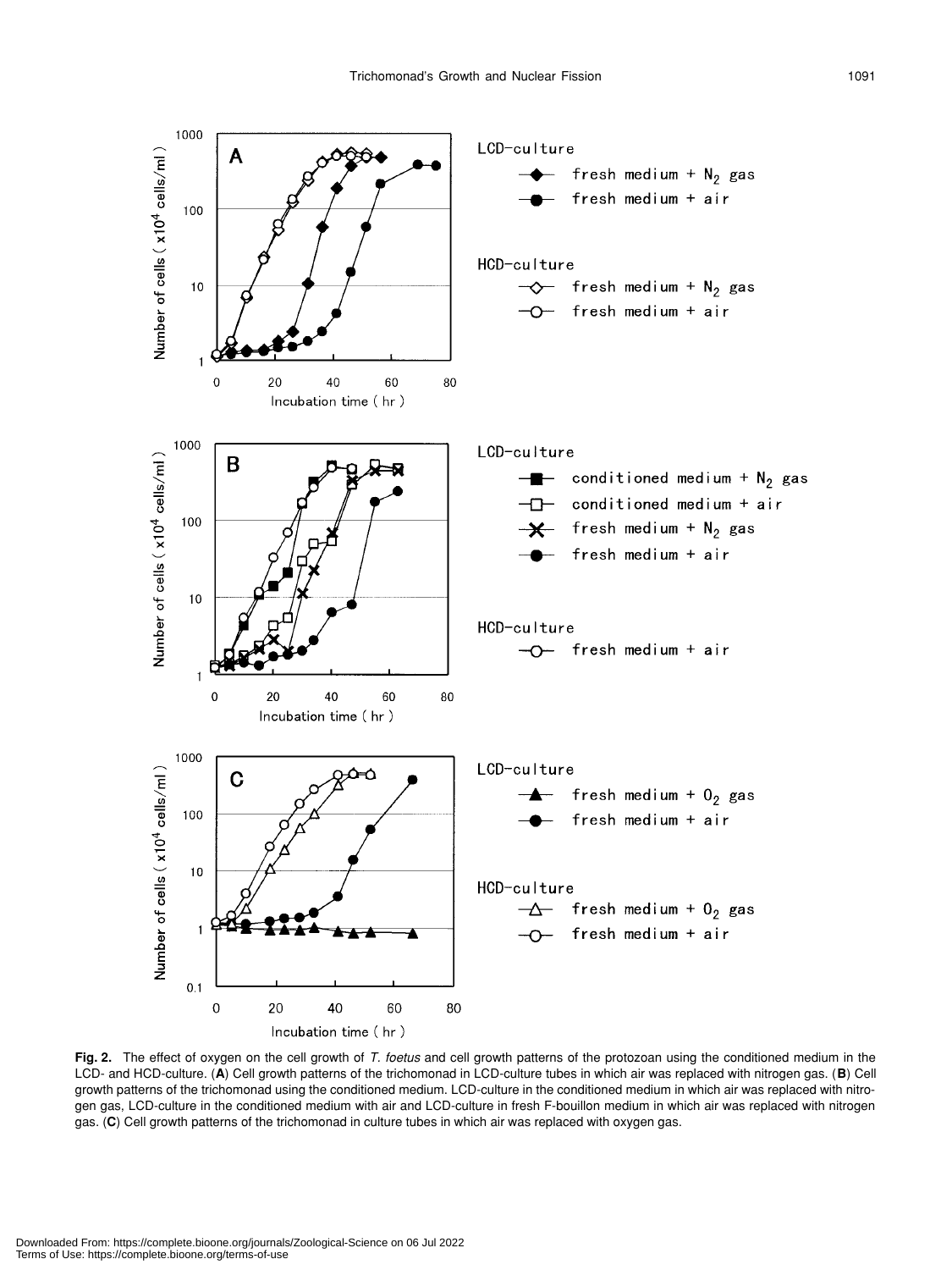

**Fig. 2.** The effect of oxygen on the cell growth of *T. foetus* and cell growth patterns of the protozoan using the conditioned medium in the LCD- and HCD-culture. (**A**) Cell growth patterns of the trichomonad in LCD-culture tubes in which air was replaced with nitrogen gas. (**B**) Cell growth patterns of the trichomonad using the conditioned medium. LCD-culture in the conditioned medium in which air was replaced with nitrogen gas, LCD-culture in the conditioned medium with air and LCD-culture in fresh F-bouillon medium in which air was replaced with nitrogen gas. (**C**) Cell growth patterns of the trichomonad in culture tubes in which air was replaced with oxygen gas.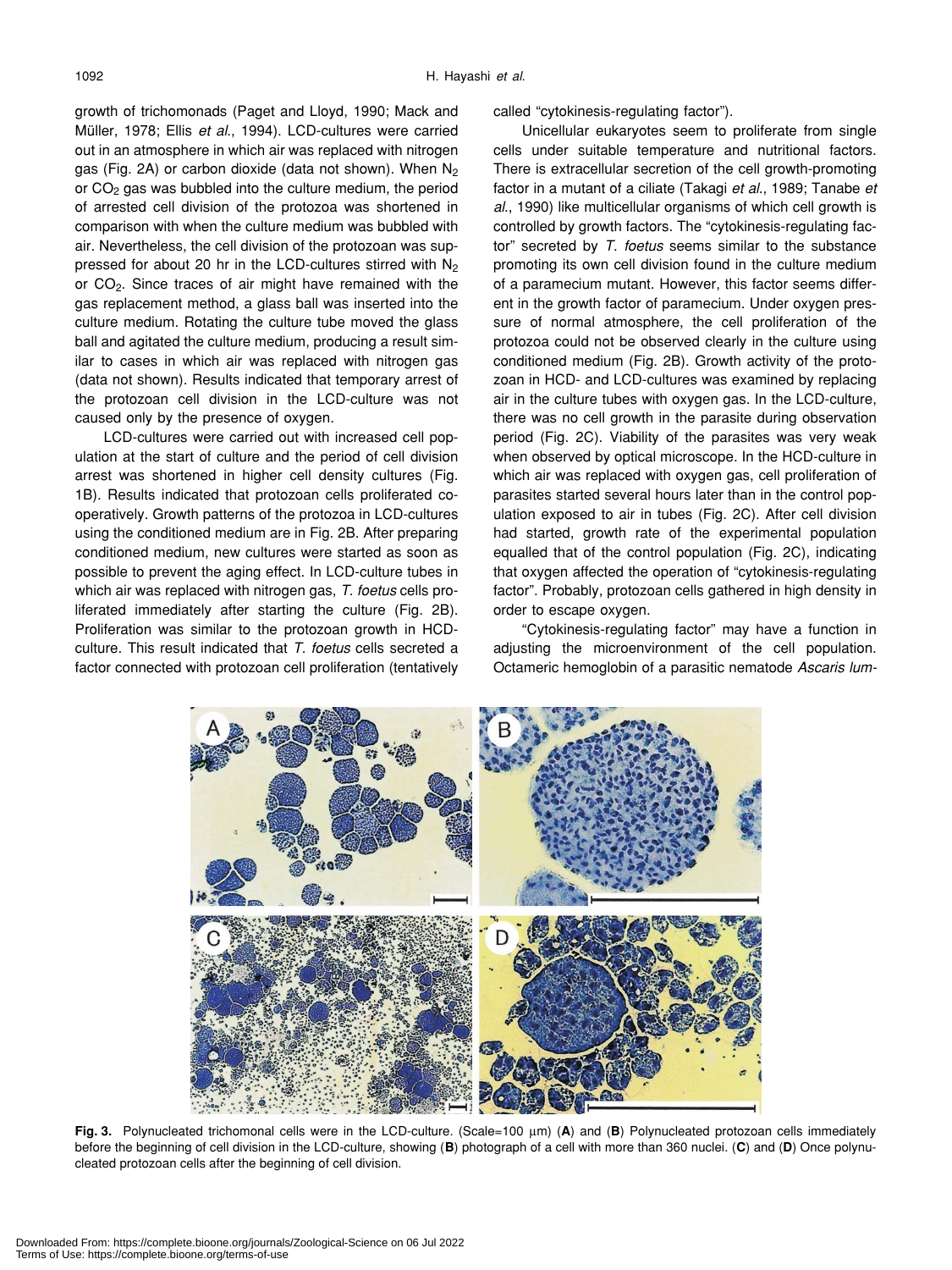growth of trichomonads (Paget and Lloyd, 1990; Mack and Müller, 1978; Ellis *et al*., 1994). LCD-cultures were carried out in an atmosphere in which air was replaced with nitrogen gas (Fig. 2A) or carbon dioxide (data not shown). When  $N_2$ or CO<sub>2</sub> gas was bubbled into the culture medium, the period of arrested cell division of the protozoa was shortened in comparison with when the culture medium was bubbled with air. Nevertheless, the cell division of the protozoan was suppressed for about 20 hr in the LCD-cultures stirred with N<sub>2</sub> or CO2. Since traces of air might have remained with the gas replacement method, a glass ball was inserted into the culture medium. Rotating the culture tube moved the glass ball and agitated the culture medium, producing a result similar to cases in which air was replaced with nitrogen gas (data not shown). Results indicated that temporary arrest of the protozoan cell division in the LCD-culture was not caused only by the presence of oxygen.

LCD-cultures were carried out with increased cell population at the start of culture and the period of cell division arrest was shortened in higher cell density cultures (Fig. 1B). Results indicated that protozoan cells proliferated cooperatively. Growth patterns of the protozoa in LCD-cultures using the conditioned medium are in Fig. 2B. After preparing conditioned medium, new cultures were started as soon as possible to prevent the aging effect. In LCD-culture tubes in which air was replaced with nitrogen gas, *T. foetus* cells proliferated immediately after starting the culture (Fig. 2B). Proliferation was similar to the protozoan growth in HCDculture. This result indicated that *T. foetus* cells secreted a factor connected with protozoan cell proliferation (tentatively called "cytokinesis-regulating factor").

Unicellular eukaryotes seem to proliferate from single cells under suitable temperature and nutritional factors. There is extracellular secretion of the cell growth-promoting factor in a mutant of a ciliate (Takagi *et al*., 1989; Tanabe *et al*., 1990) like multicellular organisms of which cell growth is controlled by growth factors. The "cytokinesis-regulating factor" secreted by *T. foetus* seems similar to the substance promoting its own cell division found in the culture medium of a paramecium mutant. However, this factor seems different in the growth factor of paramecium. Under oxygen pressure of normal atmosphere, the cell proliferation of the protozoa could not be observed clearly in the culture using conditioned medium (Fig. 2B). Growth activity of the protozoan in HCD- and LCD-cultures was examined by replacing air in the culture tubes with oxygen gas. In the LCD-culture, there was no cell growth in the parasite during observation period (Fig. 2C). Viability of the parasites was very weak when observed by optical microscope. In the HCD-culture in which air was replaced with oxygen gas, cell proliferation of parasites started several hours later than in the control population exposed to air in tubes (Fig. 2C). After cell division had started, growth rate of the experimental population equalled that of the control population (Fig. 2C), indicating that oxygen affected the operation of "cytokinesis-regulating factor". Probably, protozoan cells gathered in high density in order to escape oxygen.

"Cytokinesis-regulating factor" may have a function in adjusting the microenvironment of the cell population. Octameric hemoglobin of a parasitic nematode *Ascaris lum-*



**Fig. 3.** Polynucleated trichomonal cells were in the LCD-culture. (Scale=100 µm) (**A**) and (**B**) Polynucleated protozoan cells immediately before the beginning of cell division in the LCD-culture, showing (**B**) photograph of a cell with more than 360 nuclei. (**C**) and (**D**) Once polynucleated protozoan cells after the beginning of cell division.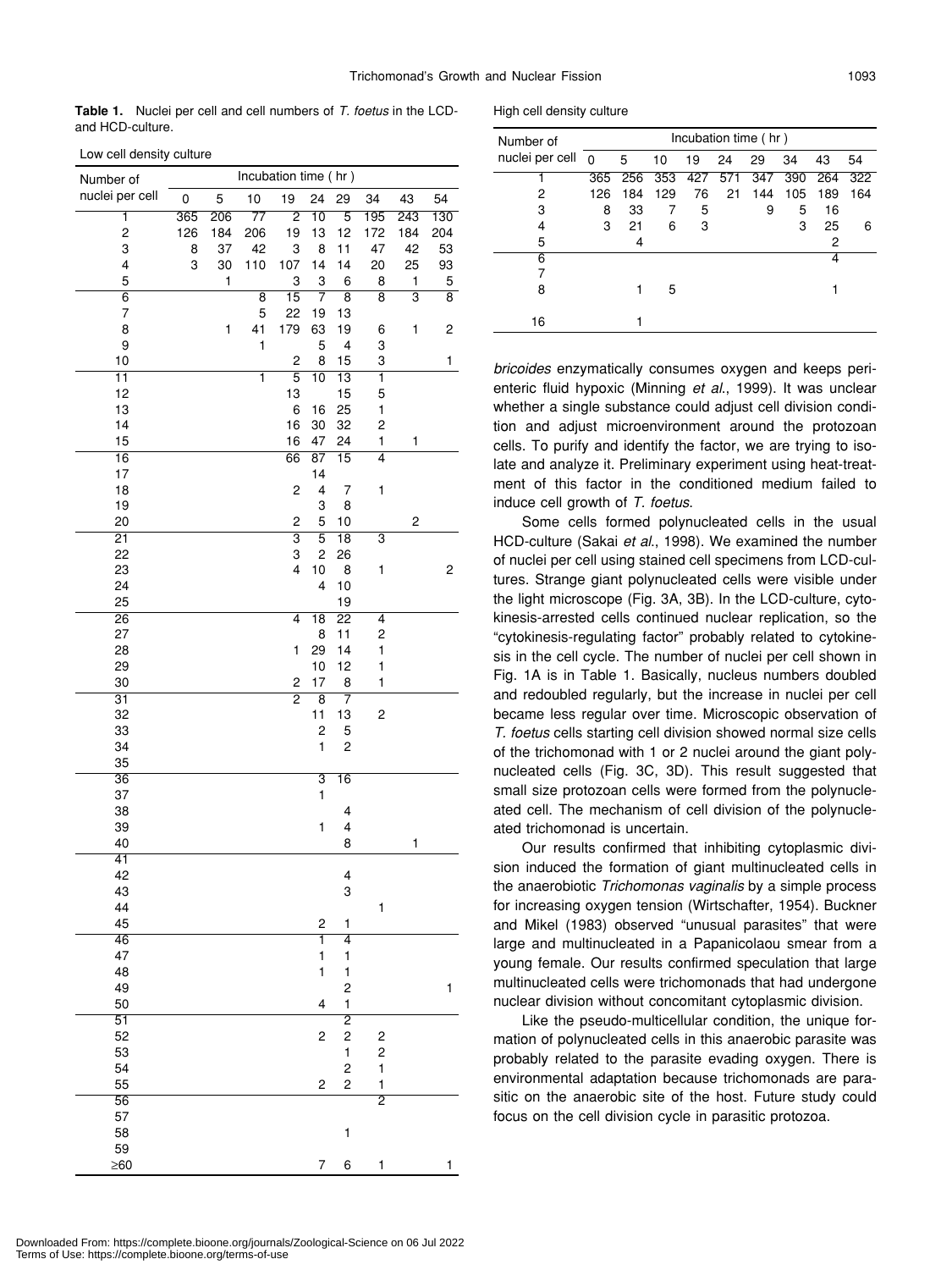**Table 1.** Nuclei per cell and cell numbers of *T. foetus* in the LCDand HCD-culture.

Low cell density culture

| Number of                | Incubation time (hr) |         |                 |                     |                               |                              |                                                    |                         |                    |  |
|--------------------------|----------------------|---------|-----------------|---------------------|-------------------------------|------------------------------|----------------------------------------------------|-------------------------|--------------------|--|
| nuclei per cell          | 0                    | 5       | 10              | 19                  | 24                            | 29                           | 34                                                 | 43                      | 54                 |  |
| ī                        | 365                  | 206     | $\overline{77}$ | $\overline{2}$      | $\overline{10}$               | $\overline{5}$               | 195                                                | 243                     | 130                |  |
| $\overline{\mathbf{c}}$  | 126                  | 184     | 206             | 19                  | 13                            | 12                           | 172                                                | 184                     | 204                |  |
| 3                        | 8                    | 37      | 42              | 3                   | 8                             | 11                           | 47                                                 | 42                      | 53                 |  |
| 4<br>5                   | 3                    | 30<br>1 | 110             | 107<br>3            | 14<br>3                       | 14<br>6                      | 20<br>8                                            | 25<br>1                 | 93<br>5            |  |
| $\overline{6}$           |                      |         | $\overline{8}$  | $\overline{15}$     | 7                             | $\overline{\mathbf{8}}$      | $\overline{8}$                                     | $\overline{\mathbf{3}}$ | $\overline{\bf 8}$ |  |
| $\overline{\mathcal{I}}$ |                      |         | 5               | 22                  | 19                            | 13                           |                                                    |                         |                    |  |
| 8                        |                      | 1       | 41              | 179                 | 63                            | 19                           | 6                                                  | 1                       | 2                  |  |
| 9<br>10                  |                      |         | 1               | $\overline{c}$      | 5<br>8                        | 4<br>15                      | 3<br>3                                             |                         | 1                  |  |
| $\overline{11}$          |                      |         | ī               | $\overline{5}$      | $\overline{10}$               | $\overline{13}$              | $\overline{\mathbf{1}}$                            |                         |                    |  |
| 12                       |                      |         |                 | 13                  |                               | 15                           | 5                                                  |                         |                    |  |
| 13                       |                      |         |                 | 6                   | 16                            | 25                           | 1                                                  |                         |                    |  |
| 14                       |                      |         |                 | 16                  | 30                            | 32                           | 2                                                  |                         |                    |  |
| 15<br>$\overline{16}$    |                      |         |                 | 16<br>66            | 47<br>$\overline{87}$         | 24<br>$\overline{15}$        | 1<br>$\overline{4}$                                | 1                       |                    |  |
| 17                       |                      |         |                 |                     | 14                            |                              |                                                    |                         |                    |  |
| 18                       |                      |         |                 | $\mathbf 2$         | 4                             | 7                            | 1                                                  |                         |                    |  |
| 19                       |                      |         |                 |                     | 3                             | 8                            |                                                    |                         |                    |  |
| 20                       |                      |         |                 | 2                   | 5                             | 10                           |                                                    | 2                       |                    |  |
| $\overline{21}$<br>22    |                      |         |                 | $\overline{3}$<br>3 | $\overline{5}$                | $\overline{18}$              | 3                                                  |                         |                    |  |
| 23                       |                      |         |                 | 4                   | $\overline{\mathbf{c}}$<br>10 | 26<br>8                      | 1                                                  |                         | $\overline{c}$     |  |
| 24                       |                      |         |                 |                     | 4                             | 10                           |                                                    |                         |                    |  |
| 25                       |                      |         |                 |                     |                               | 19                           |                                                    |                         |                    |  |
| $\overline{26}$          |                      |         |                 | 4                   | $\overline{18}$               | $\overline{22}$              | 4                                                  |                         |                    |  |
| 27                       |                      |         |                 |                     | 8                             | 11                           | $\overline{\mathbf{c}}$                            |                         |                    |  |
| 28<br>29                 |                      |         |                 | 1                   | 29<br>10                      | 14<br>12                     | $\mathbf{1}$<br>1                                  |                         |                    |  |
| 30                       |                      |         |                 | 2                   | 17                            | 8                            | 1                                                  |                         |                    |  |
| $\overline{31}$          |                      |         |                 | $\overline{2}$      | $\overline{8}$                | 7                            |                                                    |                         |                    |  |
| 32                       |                      |         |                 |                     | 11                            | 13                           | $\overline{\mathbf{c}}$                            |                         |                    |  |
| 33                       |                      |         |                 |                     | $\overline{\mathbf{c}}$       | 5                            |                                                    |                         |                    |  |
| 34<br>35                 |                      |         |                 |                     | 1                             | $\overline{\mathbf{c}}$      |                                                    |                         |                    |  |
| $\overline{36}$          |                      |         |                 |                     | $\overline{3}$                | $\overline{16}$              |                                                    |                         |                    |  |
| 37                       |                      |         |                 |                     | 1                             |                              |                                                    |                         |                    |  |
| 38                       |                      |         |                 |                     |                               | 4                            |                                                    |                         |                    |  |
| 39                       |                      |         |                 |                     | 1                             | 4                            |                                                    |                         |                    |  |
| 40<br>41                 |                      |         |                 |                     |                               | 8                            |                                                    | 1                       |                    |  |
| 42                       |                      |         |                 |                     |                               | 4                            |                                                    |                         |                    |  |
| 43                       |                      |         |                 |                     |                               | 3                            |                                                    |                         |                    |  |
| 44                       |                      |         |                 |                     |                               |                              | 1                                                  |                         |                    |  |
| 45                       |                      |         |                 |                     | $\overline{\mathbf{c}}$       | 1                            |                                                    |                         |                    |  |
| $\overline{46}$<br>47    |                      |         |                 |                     | ī<br>$\mathbf{1}$             | 4<br>1                       |                                                    |                         |                    |  |
| 48                       |                      |         |                 |                     | $\mathbf{1}$                  | 1                            |                                                    |                         |                    |  |
| 49                       |                      |         |                 |                     |                               | 2                            |                                                    |                         | $\mathbf 1$        |  |
| 50                       |                      |         |                 |                     | 4                             | $\mathbf 1$                  |                                                    |                         |                    |  |
| $\overline{51}$          |                      |         |                 |                     |                               | $\overline{2}$               |                                                    |                         |                    |  |
| 52<br>53                 |                      |         |                 |                     | $\overline{\mathbf{c}}$       | $\overline{\mathbf{c}}$<br>1 | $\overline{\mathbf{c}}$<br>$\overline{\mathbf{c}}$ |                         |                    |  |
| 54                       |                      |         |                 |                     |                               | $\overline{c}$               | $\mathbf{1}$                                       |                         |                    |  |
| 55                       |                      |         |                 |                     | $\overline{\mathbf{c}}$       | $\overline{c}$               | 1                                                  |                         |                    |  |
| $\overline{56}$          |                      |         |                 |                     |                               |                              | $\overline{2}$                                     |                         |                    |  |
| 57                       |                      |         |                 |                     |                               |                              |                                                    |                         |                    |  |
| 58<br>59                 |                      |         |                 |                     |                               | 1                            |                                                    |                         |                    |  |
| $\geq 60$                |                      |         |                 |                     | 7                             | 6                            | 1                                                  |                         | 1                  |  |
|                          |                      |         |                 |                     |                               |                              |                                                    |                         |                    |  |

High cell density culture

| Number of<br>nuclei per cell | Incubation time (hr) |     |     |     |     |     |     |     |     |
|------------------------------|----------------------|-----|-----|-----|-----|-----|-----|-----|-----|
|                              | $\mathbf 0$          | 5   | 10  | 19  | 24  | 29  | 34  | 43  | 54  |
|                              | 365                  | 256 | 353 | 427 | 571 | 347 | 390 | 264 | 322 |
| 2                            | 126                  | 184 | 129 | 76  | 21  | 144 | 105 | 189 | 164 |
| 3                            | 8                    | 33  | 7   | 5   |     | 9   | 5   | 16  |     |
| 4                            | 3                    | 21  | 6   | 3   |     |     | 3   | 25  | 6   |
| 5                            |                      | 4   |     |     |     |     |     | 2   |     |
| 6                            |                      |     |     |     |     |     |     | 4   |     |
|                              |                      |     |     |     |     |     |     |     |     |
| 8                            |                      |     | 5   |     |     |     |     |     |     |
|                              |                      |     |     |     |     |     |     |     |     |
| 16                           |                      |     |     |     |     |     |     |     |     |

*bricoides* enzymatically consumes oxygen and keeps perienteric fluid hypoxic (Minning *et al*., 1999). It was unclear whether a single substance could adjust cell division condition and adjust microenvironment around the protozoan cells. To purify and identify the factor, we are trying to isolate and analyze it. Preliminary experiment using heat-treatment of this factor in the conditioned medium failed to induce cell growth of *T. foetus*.

Some cells formed polynucleated cells in the usual HCD-culture (Sakai *et al*., 1998). We examined the number of nuclei per cell using stained cell specimens from LCD-cultures. Strange giant polynucleated cells were visible under the light microscope (Fig. 3A, 3B). In the LCD-culture, cytokinesis-arrested cells continued nuclear replication, so the "cytokinesis-regulating factor" probably related to cytokinesis in the cell cycle. The number of nuclei per cell shown in Fig. 1A is in Table 1. Basically, nucleus numbers doubled and redoubled regularly, but the increase in nuclei per cell became less regular over time. Microscopic observation of *T. foetus* cells starting cell division showed normal size cells of the trichomonad with 1 or 2 nuclei around the giant polynucleated cells (Fig. 3C, 3D). This result suggested that small size protozoan cells were formed from the polynucleated cell. The mechanism of cell division of the polynucleated trichomonad is uncertain.

Our results confirmed that inhibiting cytoplasmic division induced the formation of giant multinucleated cells in the anaerobiotic *Trichomonas vaginalis* by a simple process for increasing oxygen tension (Wirtschafter, 1954). Buckner and Mikel (1983) observed "unusual parasites" that were large and multinucleated in a Papanicolaou smear from a young female. Our results confirmed speculation that large multinucleated cells were trichomonads that had undergone nuclear division without concomitant cytoplasmic division.

Like the pseudo-multicellular condition, the unique formation of polynucleated cells in this anaerobic parasite was probably related to the parasite evading oxygen. There is environmental adaptation because trichomonads are parasitic on the anaerobic site of the host. Future study could focus on the cell division cycle in parasitic protozoa.